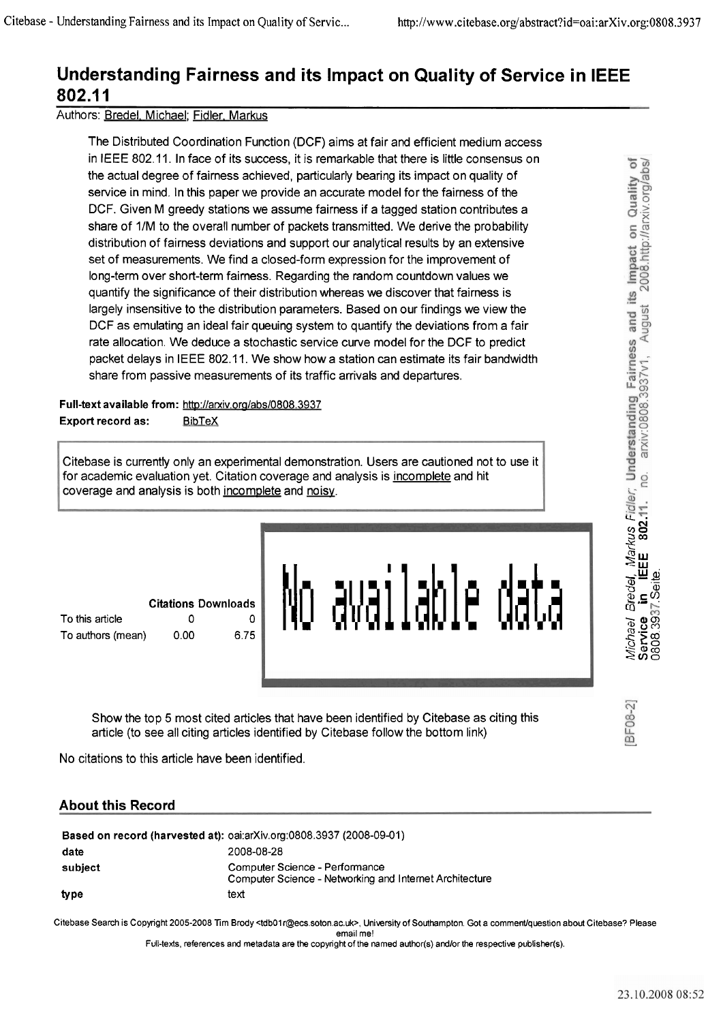### **Understanding Fairness and its Impact on Quality of Service in IEEE 802.1 1**

#### Authors: Bredel. Michael; Fidler. Markus

The Distributed Coordination Function (DCF) aims at fair and efficient medium access in IEEE 802.11. In face of its success, it is remarkable that there is little consensus on the actual degree of fairness achieved, particularly bearing its impact on quality of service in mind. In this paper we provide an accurate model for the fairness of the DCF. Given M greedy Stations we assume fairness if a tagged station contributes a share of 1/M to the overall number of packets transmitted. We derive the probability distribution of fairness deviations and support our analytical results by an extensive set of measurements. We find a closed-form expression for the improvement of long-term over short-term fairness. Regarding the random countdown values we quantify the significance of their distribution whereas we discover that fairness is largely insensitive to the distribution parameters. Based on our findings we view the DCF as emulating an ideal fair queuing system to quantify the deviations from a fair rate allocation. We deduce a stochastic service curve model for the DCF to predict packet delays in IEEE 802.1 1. We show how a station can estimate its fair bandwidth share from passive measurements of its traffic arrivals and departures.

#### Full-text available from: http://arxiv.org/abs/0808.3937 Export record as: BibTeX

Citebase is currently only an experimental demonstration. Users are cautioned not to use it Chebase is currently only an experimental demonstration. Osers are caditoried not<br>for academic evaluation yet. Citation coverage and analysis is <u>incomplete</u> and hit<br>coverage and analysis is both <u>incomplete</u> and <u>noisy</u>.

|                   |      | Citations Downloads |
|-------------------|------|---------------------|
| To this article   |      | 0 I                 |
| To authors (mean) | 0.00 | 6.75                |



Show the top 5 most cited articles that have been identified by Citebase as citing this article (to See all citing articles identified by Citebase follow the bottom link)

No citations to this article have been identified.

#### **About this Record**

| Based on record (harvested at): oai:arXiv.org:0808.3937 (2008-09-01) |                                                                                           |  |
|----------------------------------------------------------------------|-------------------------------------------------------------------------------------------|--|
| date                                                                 | 2008-08-28                                                                                |  |
| subject                                                              | Computer Science - Performance<br>Computer Science - Networking and Internet Architecture |  |
| type                                                                 | text                                                                                      |  |

Citebase Search is Copyright 2005-2008 Tim Brody <tdb01r@ecs.soton.ac.uk>, University of Southampton. Got a comment/question about Citebase? Please email me!

Full-texts, references and metadata are the copyright of the named author(s) and/or the respective publisher(s).

BF08-21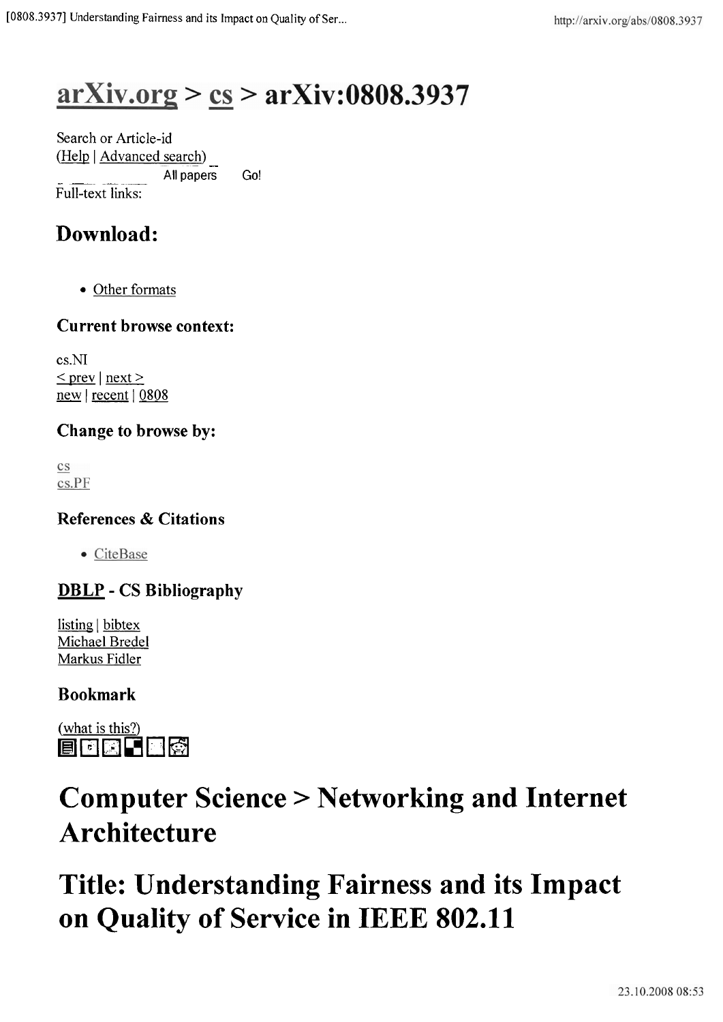# $arXiv.org > cs > arXiv:0808.3937$

Search or Article-id (Help | <u>Advanced search)</u><br>All papers All papers Go! Full-text links:

## **Download:**

Other formats

#### **Current browse context:**

cs.NI  $\le$  prev | next > new | recent | 0808

### **Change to browse by:**

 $\rm{c}\rm{s}$ cs.PF

#### **References** & **Citations**

• CiteBase

### **DBLP** - **CS Bibliography**

 $listing \mid bibtex$ Michael Bredel Markus Fidler

#### **Bookmark**



# **Computer Science** > **Networking and Internet Architecture**

# **Title: Understanding Fairness and its Impact on Quality of Service in IEEE 802.11**